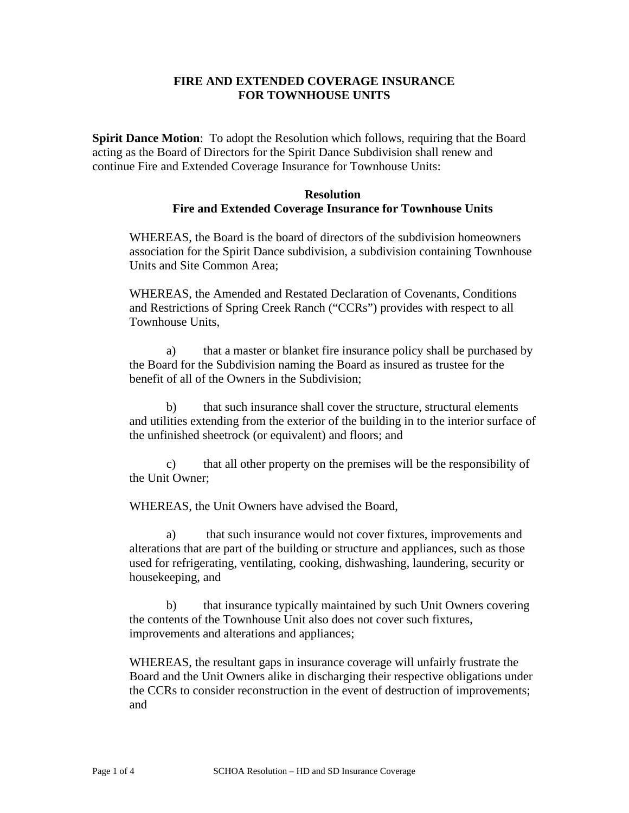# **FIRE AND EXTENDED COVERAGE INSURANCE FOR TOWNHOUSE UNITS**

**Spirit Dance Motion**: To adopt the Resolution which follows, requiring that the Board acting as the Board of Directors for the Spirit Dance Subdivision shall renew and continue Fire and Extended Coverage Insurance for Townhouse Units:

#### **Resolution Fire and Extended Coverage Insurance for Townhouse Units**

WHEREAS, the Board is the board of directors of the subdivision homeowners association for the Spirit Dance subdivision, a subdivision containing Townhouse Units and Site Common Area;

WHEREAS, the Amended and Restated Declaration of Covenants, Conditions and Restrictions of Spring Creek Ranch ("CCRs") provides with respect to all Townhouse Units,

a) that a master or blanket fire insurance policy shall be purchased by the Board for the Subdivision naming the Board as insured as trustee for the benefit of all of the Owners in the Subdivision;

b) that such insurance shall cover the structure, structural elements and utilities extending from the exterior of the building in to the interior surface of the unfinished sheetrock (or equivalent) and floors; and

c) that all other property on the premises will be the responsibility of the Unit Owner;

WHEREAS, the Unit Owners have advised the Board,

a) that such insurance would not cover fixtures, improvements and alterations that are part of the building or structure and appliances, such as those used for refrigerating, ventilating, cooking, dishwashing, laundering, security or housekeeping, and

b) that insurance typically maintained by such Unit Owners covering the contents of the Townhouse Unit also does not cover such fixtures, improvements and alterations and appliances;

WHEREAS, the resultant gaps in insurance coverage will unfairly frustrate the Board and the Unit Owners alike in discharging their respective obligations under the CCRs to consider reconstruction in the event of destruction of improvements; and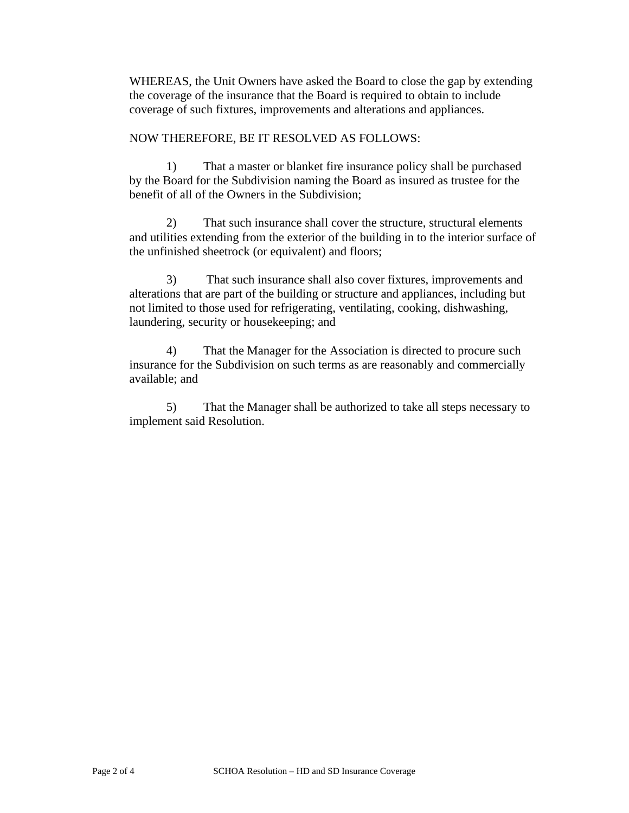WHEREAS, the Unit Owners have asked the Board to close the gap by extending the coverage of the insurance that the Board is required to obtain to include coverage of such fixtures, improvements and alterations and appliances.

# NOW THEREFORE, BE IT RESOLVED AS FOLLOWS:

1) That a master or blanket fire insurance policy shall be purchased by the Board for the Subdivision naming the Board as insured as trustee for the benefit of all of the Owners in the Subdivision;

2) That such insurance shall cover the structure, structural elements and utilities extending from the exterior of the building in to the interior surface of the unfinished sheetrock (or equivalent) and floors;

3) That such insurance shall also cover fixtures, improvements and alterations that are part of the building or structure and appliances, including but not limited to those used for refrigerating, ventilating, cooking, dishwashing, laundering, security or housekeeping; and

4) That the Manager for the Association is directed to procure such insurance for the Subdivision on such terms as are reasonably and commercially available; and

5) That the Manager shall be authorized to take all steps necessary to implement said Resolution.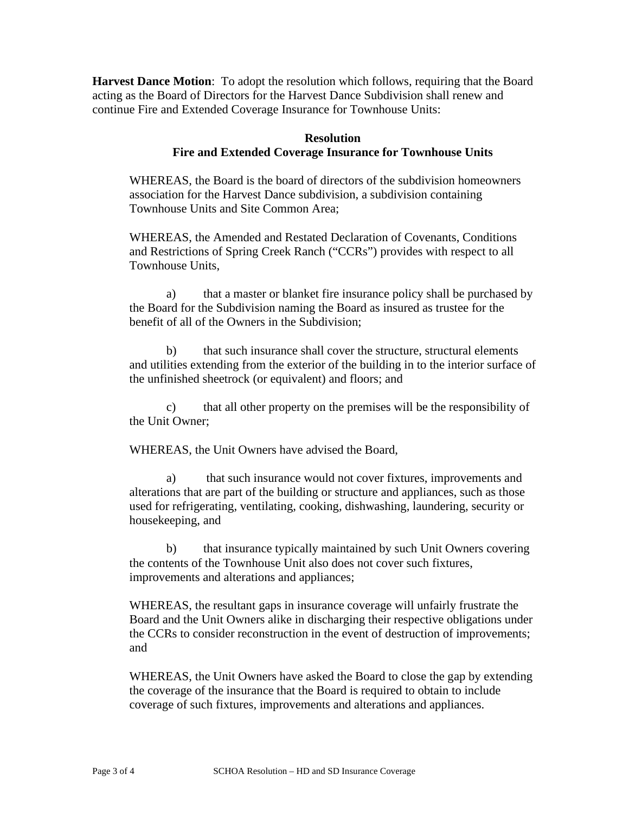**Harvest Dance Motion**: To adopt the resolution which follows, requiring that the Board acting as the Board of Directors for the Harvest Dance Subdivision shall renew and continue Fire and Extended Coverage Insurance for Townhouse Units:

# **Resolution Fire and Extended Coverage Insurance for Townhouse Units**

WHEREAS, the Board is the board of directors of the subdivision homeowners association for the Harvest Dance subdivision, a subdivision containing Townhouse Units and Site Common Area;

WHEREAS, the Amended and Restated Declaration of Covenants, Conditions and Restrictions of Spring Creek Ranch ("CCRs") provides with respect to all Townhouse Units,

a) that a master or blanket fire insurance policy shall be purchased by the Board for the Subdivision naming the Board as insured as trustee for the benefit of all of the Owners in the Subdivision;

b) that such insurance shall cover the structure, structural elements and utilities extending from the exterior of the building in to the interior surface of the unfinished sheetrock (or equivalent) and floors; and

c) that all other property on the premises will be the responsibility of the Unit Owner;

WHEREAS, the Unit Owners have advised the Board,

a) that such insurance would not cover fixtures, improvements and alterations that are part of the building or structure and appliances, such as those used for refrigerating, ventilating, cooking, dishwashing, laundering, security or housekeeping, and

b) that insurance typically maintained by such Unit Owners covering the contents of the Townhouse Unit also does not cover such fixtures, improvements and alterations and appliances;

WHEREAS, the resultant gaps in insurance coverage will unfairly frustrate the Board and the Unit Owners alike in discharging their respective obligations under the CCRs to consider reconstruction in the event of destruction of improvements; and

WHEREAS, the Unit Owners have asked the Board to close the gap by extending the coverage of the insurance that the Board is required to obtain to include coverage of such fixtures, improvements and alterations and appliances.